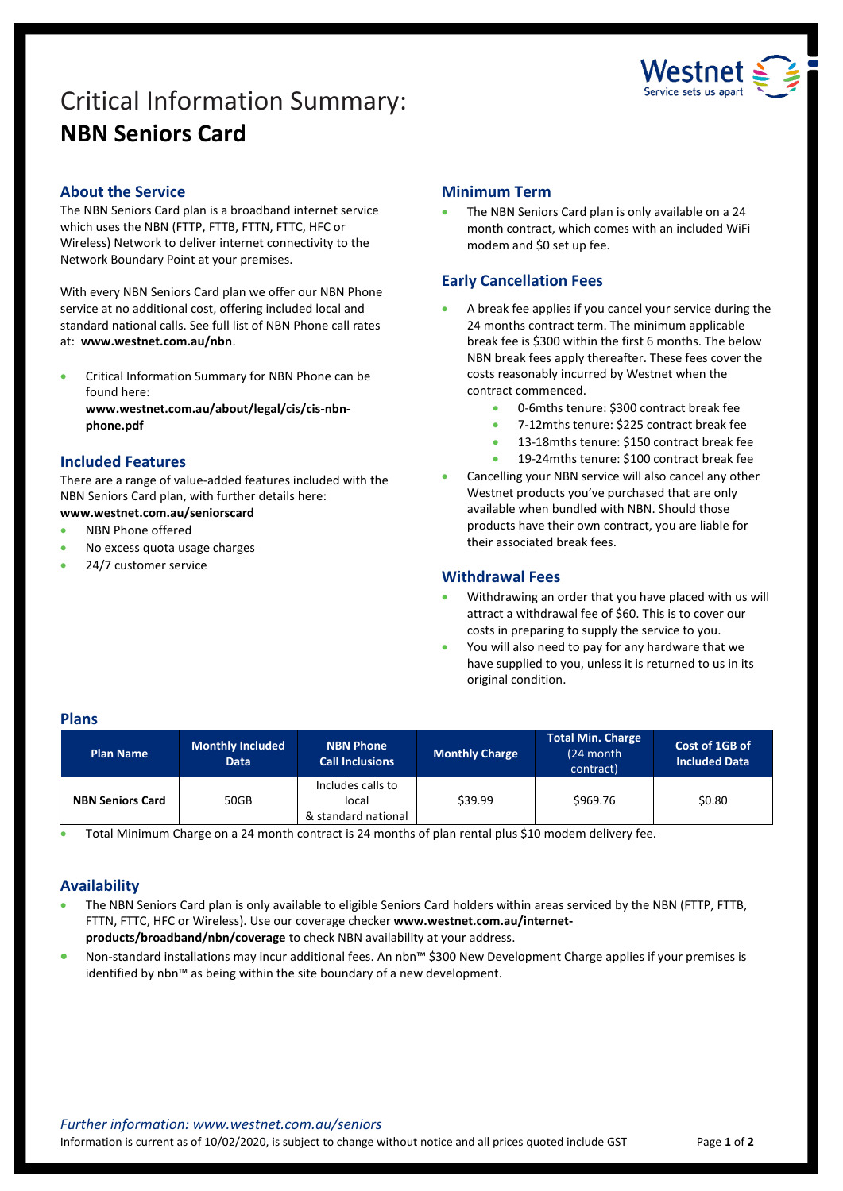# Critical Information Summary: **NBN Seniors Card**



# **About the Service**

The NBN Seniors Card plan is a broadband internet service which uses the NBN (FTTP, FTTB, FTTN, FTTC, HFC or Wireless) Network to deliver internet connectivity to the Network Boundary Point at your premises.

With every NBN Seniors Card plan we offer our NBN Phone service at no additional cost, offering included local and standard national calls. See full list of NBN Phone call rates at: **www.westnet.com.au/nbn**.

 Critical Information Summary for NBN Phone can be found here:

**www.westnet.com.au/about/legal/cis/cis-nbnphone.pdf**

# **Included Features**

There are a range of value-added features included with the NBN Seniors Card plan, with further details here: **www.westnet.com.au/seniorscard**

# NBN Phone offered

- No excess quota usage charges
- 24/7 customer service

# **Minimum Term**

 The NBN Seniors Card plan is only available on a 24 month contract, which comes with an included WiFi modem and \$0 set up fee.

# **Early Cancellation Fees**

- A break fee applies if you cancel your service during the 24 months contract term. The minimum applicable break fee is \$300 within the first 6 months. The below NBN break fees apply thereafter. These fees cover the costs reasonably incurred by Westnet when the contract commenced.
	- 0-6mths tenure: \$300 contract break fee
	- 7-12mths tenure: \$225 contract break fee
	- 13-18mths tenure: \$150 contract break fee
	- 19-24mths tenure: \$100 contract break fee
- Cancelling your NBN service will also cancel any other Westnet products you've purchased that are only available when bundled with NBN. Should those products have their own contract, you are liable for their associated break fees.

#### **Withdrawal Fees**

- Withdrawing an order that you have placed with us will attract a withdrawal fee of \$60. This is to cover our costs in preparing to supply the service to you.
- You will also need to pay for any hardware that we have supplied to you, unless it is returned to us in its original condition.

#### **Plans**

| <b>Plan Name</b>        | <b>Monthly Included</b><br><b>Data</b> | <b>NBN Phone</b><br><b>Call Inclusions</b>        | <b>Monthly Charge</b> | <b>Total Min. Charge</b><br>(24 month<br>contract) | Cost of 1GB of<br><b>Included Data</b> |
|-------------------------|----------------------------------------|---------------------------------------------------|-----------------------|----------------------------------------------------|----------------------------------------|
| <b>NBN Seniors Card</b> | 50GB                                   | Includes calls to<br>local<br>& standard national | \$39.99               | \$969.76                                           | \$0.80                                 |

Total Minimum Charge on a 24 month contract is 24 months of plan rental plus \$10 modem delivery fee.

# **Availability**

- The NBN Seniors Card plan is only available to eligible Seniors Card holders within areas serviced by the NBN (FTTP, FTTB, FTTN, FTTC, HFC or Wireless). Use ou[r coverage checker](https://www.westnet.com.au/internet-products/broadband/nbn/coverage/) **www.westnet.com.au/internetproducts/broadband/nbn/coverage** to check NBN availability at your address.
- Non-standard installations may incur additional fees. An nbn™ \$300 New Development Charge applies if your premises is identified by nbn™ as being within the site boundary of a new development.